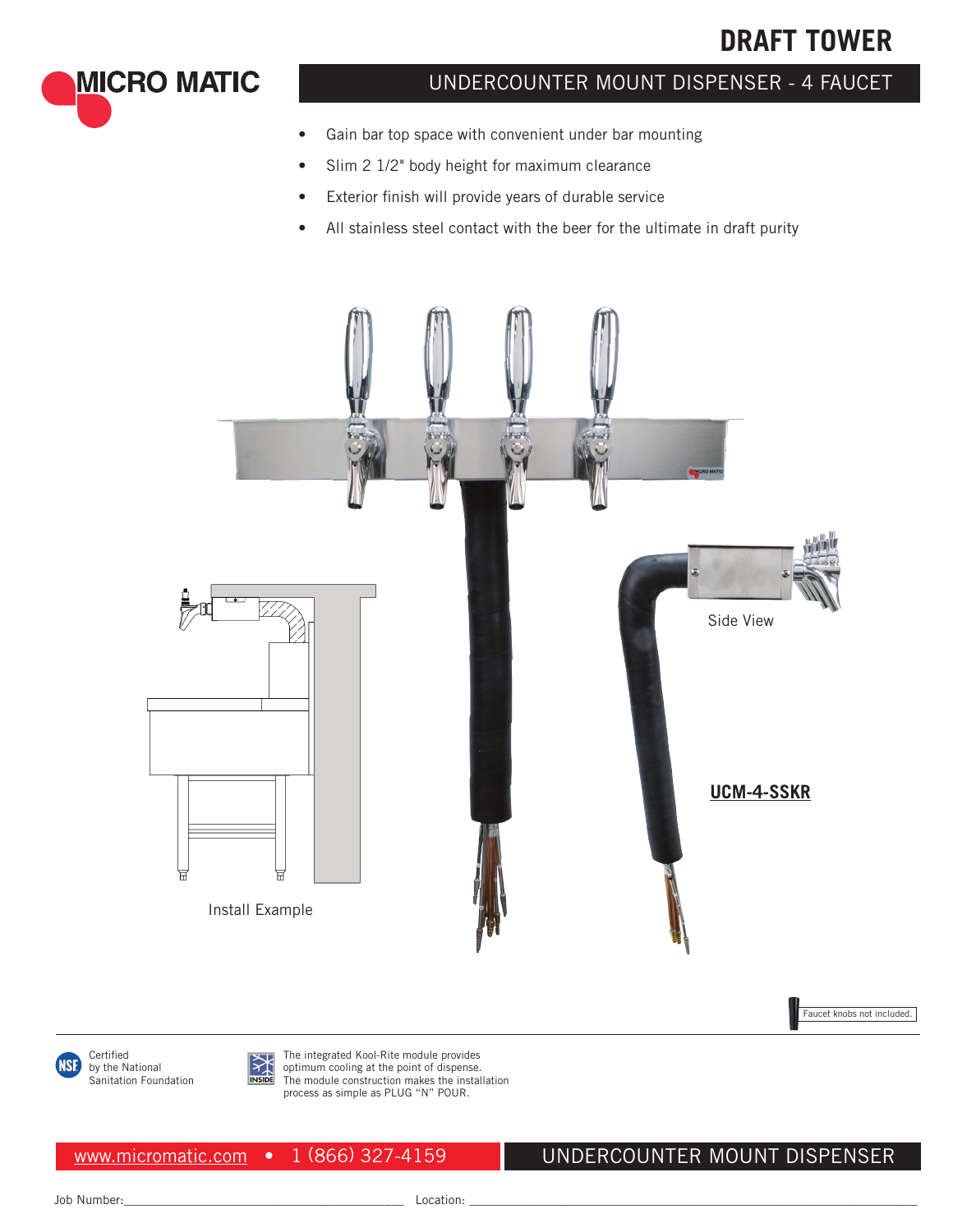# **DRAFT TOWER**

**MICRO MATIC** 

## UNDERCOUNTER MOUNT DISPENSER - 4 FAUCET

- Gain bar top space with convenient under bar mounting
- Slim 2 1/2" body height for maximum clearance
- Exterior finish will provide years of durable service
- All stainless steel contact with the beer for the ultimate in draft purity



Faucet knobs not included.

Certified 1SF by the National Sanitation Foundation



The integrated Kool-Rite module provides optimum cooling at the point of dispense. The module construction makes the installation process as simple as PLUG "N" POUR.

www.micromatic.com • 1 (866) 327-4159

UNDERCOUNTER MOUNT DISPENSER

Job Number:\_\_\_\_\_\_\_\_\_\_\_\_\_\_\_\_\_\_\_\_\_\_\_\_\_\_\_\_\_\_\_\_\_\_\_\_\_\_\_\_\_\_\_\_\_ Location: \_\_\_\_\_\_\_\_\_\_\_\_\_\_\_\_\_\_\_\_\_\_\_\_\_\_\_\_\_\_\_\_\_\_\_\_\_\_\_\_\_\_\_\_\_\_\_\_\_\_\_\_\_\_\_\_\_\_\_\_\_\_\_\_\_\_\_\_\_\_\_\_